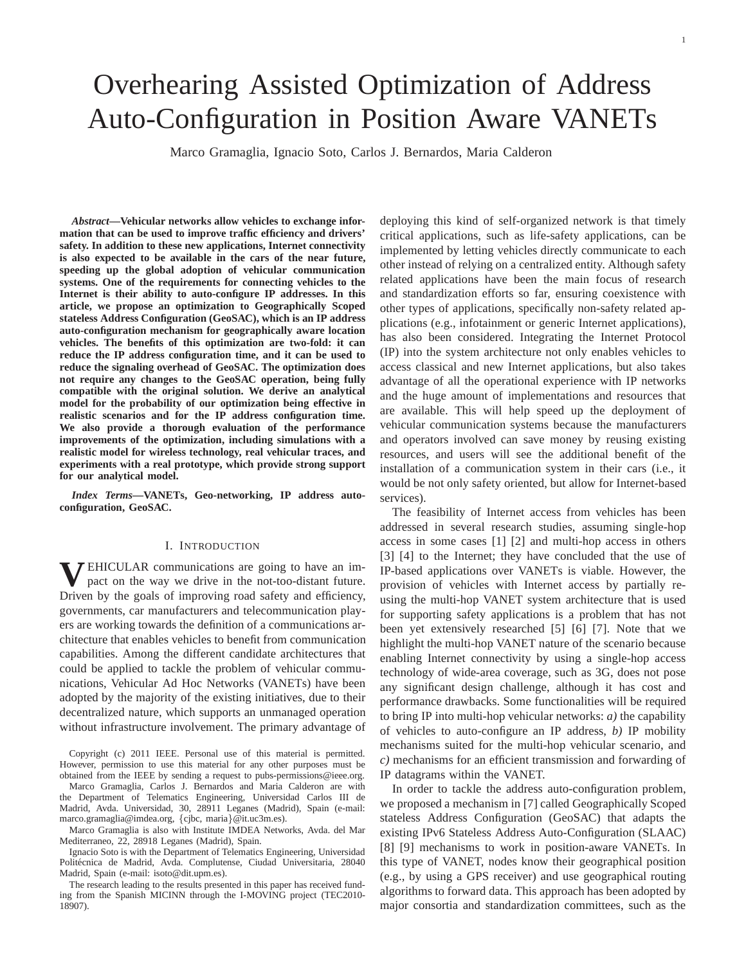# Overhearing Assisted Optimization of Address Auto-Configuration in Position Aware VANETs

Marco Gramaglia, Ignacio Soto, Carlos J. Bernardos, Maria Calderon

*Abstract***—Vehicular networks allow vehicles to exchange information that can be used to improve traffic efficiency and drivers' safety. In addition to these new applications, Internet connectivity is also expected to be available in the cars of the near future, speeding up the global adoption of vehicular communication systems. One of the requirements for connecting vehicles to the Internet is their ability to auto-configure IP addresses. In this article, we propose an optimization to Geographically Scoped stateless Address Configuration (GeoSAC), which is an IP address auto-configuration mechanism for geographically aware location vehicles. The benefits of this optimization are two-fold: it can reduce the IP address configuration time, and it can be used to reduce the signaling overhead of GeoSAC. The optimization does not require any changes to the GeoSAC operation, being fully compatible with the original solution. We derive an analytical model for the probability of our optimization being effective in realistic scenarios and for the IP address configuration time. We also provide a thorough evaluation of the performance improvements of the optimization, including simulations with a realistic model for wireless technology, real vehicular traces, and experiments with a real prototype, which provide strong support for our analytical model.**

*Index Terms***—VANETs, Geo-networking, IP address autoconfiguration, GeoSAC.**

#### I. INTRODUCTION

**V** EHICULAR communications are going to have an im-<br>pact on the way we drive in the not-too-distant future. pact on the way we drive in the not-too-distant future. Driven by the goals of improving road safety and efficiency, governments, car manufacturers and telecommunication players are working towards the definition of a communications architecture that enables vehicles to benefit from communication capabilities. Among the different candidate architectures that could be applied to tackle the problem of vehicular communications, Vehicular Ad Hoc Networks (VANETs) have been adopted by the majority of the existing initiatives, due to their decentralized nature, which supports an unmanaged operation without infrastructure involvement. The primary advantage of

Copyright (c) 2011 IEEE. Personal use of this material is permitted. However, permission to use this material for any other purposes must be obtained from the IEEE by sending a request to pubs-permissions@ieee.org.

Marco Gramaglia, Carlos J. Bernardos and Maria Calderon are with the Department of Telematics Engineering, Universidad Carlos III de Madrid, Avda. Universidad, 30, 28911 Leganes (Madrid), Spain (e-mail: marco.gramaglia@imdea.org, {cjbc, maria}@it.uc3m.es).

Marco Gramaglia is also with Institute IMDEA Networks, Avda. del Mar Mediterraneo, 22, 28918 Leganes (Madrid), Spain.

Ignacio Soto is with the Department of Telematics Engineering, Universidad Politécnica de Madrid, Avda. Complutense, Ciudad Universitaria, 28040 Madrid, Spain (e-mail: isoto@dit.upm.es).

The research leading to the results presented in this paper has received funding from the Spanish MICINN through the I-MOVING project (TEC2010- 18907).

deploying this kind of self-organized network is that timely critical applications, such as life-safety applications, can be implemented by letting vehicles directly communicate to each other instead of relying on a centralized entity. Although safety related applications have been the main focus of research and standardization efforts so far, ensuring coexistence with other types of applications, specifically non-safety related applications (e.g., infotainment or generic Internet applications), has also been considered. Integrating the Internet Protocol (IP) into the system architecture not only enables vehicles to access classical and new Internet applications, but also takes advantage of all the operational experience with IP networks and the huge amount of implementations and resources that are available. This will help speed up the deployment of vehicular communication systems because the manufacturers and operators involved can save money by reusing existing resources, and users will see the additional benefit of the installation of a communication system in their cars (i.e., it would be not only safety oriented, but allow for Internet-based services).

The feasibility of Internet access from vehicles has been addressed in several research studies, assuming single-hop access in some cases [1] [2] and multi-hop access in others [3] [4] to the Internet; they have concluded that the use of IP-based applications over VANETs is viable. However, the provision of vehicles with Internet access by partially reusing the multi-hop VANET system architecture that is used for supporting safety applications is a problem that has not been yet extensively researched [5] [6] [7]. Note that we highlight the multi-hop VANET nature of the scenario because enabling Internet connectivity by using a single-hop access technology of wide-area coverage, such as 3G, does not pose any significant design challenge, although it has cost and performance drawbacks. Some functionalities will be required to bring IP into multi-hop vehicular networks: *a)* the capability of vehicles to auto-configure an IP address, *b)* IP mobility mechanisms suited for the multi-hop vehicular scenario, and *c)* mechanisms for an efficient transmission and forwarding of IP datagrams within the VANET.

In order to tackle the address auto-configuration problem, we proposed a mechanism in [7] called Geographically Scoped stateless Address Configuration (GeoSAC) that adapts the existing IPv6 Stateless Address Auto-Configuration (SLAAC) [8] [9] mechanisms to work in position-aware VANETs. In this type of VANET, nodes know their geographical position (e.g., by using a GPS receiver) and use geographical routing algorithms to forward data. This approach has been adopted by major consortia and standardization committees, such as the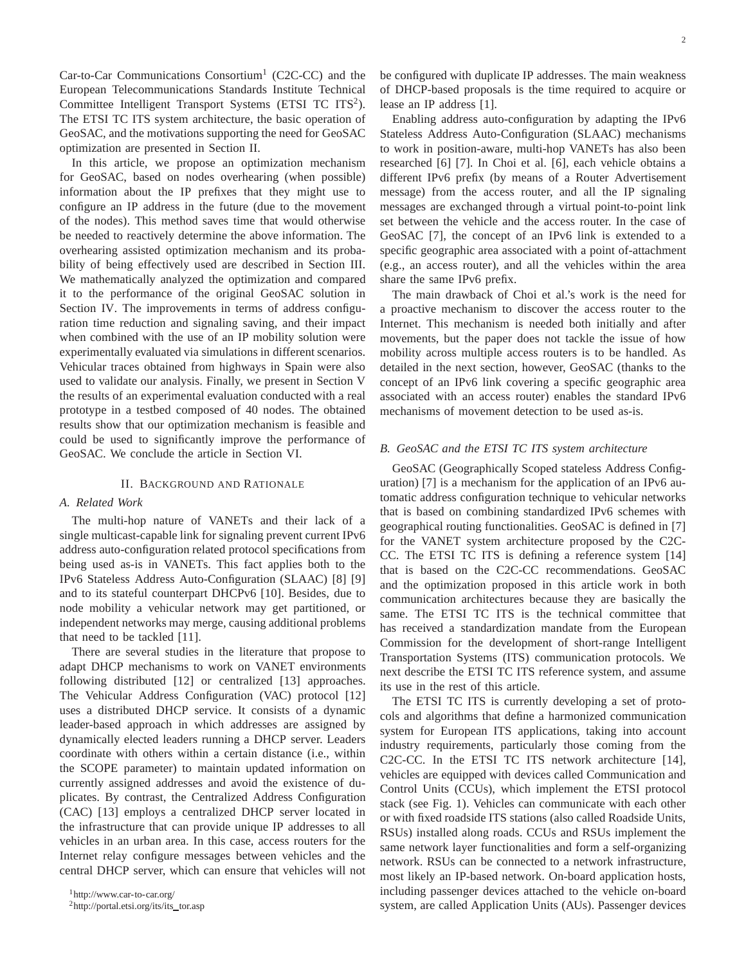Car-to-Car Communications Consortium<sup>1</sup> (C2C-CC) and the European Telecommunications Standards Institute Technical Committee Intelligent Transport Systems (ETSI TC ITS<sup>2</sup>). The ETSI TC ITS system architecture, the basic operation of GeoSAC, and the motivations supporting the need for GeoSAC optimization are presented in Section II.

In this article, we propose an optimization mechanism for GeoSAC, based on nodes overhearing (when possible) information about the IP prefixes that they might use to configure an IP address in the future (due to the movement of the nodes). This method saves time that would otherwise be needed to reactively determine the above information. The overhearing assisted optimization mechanism and its probability of being effectively used are described in Section III. We mathematically analyzed the optimization and compared it to the performance of the original GeoSAC solution in Section IV. The improvements in terms of address configuration time reduction and signaling saving, and their impact when combined with the use of an IP mobility solution were experimentally evaluated via simulations in different scenarios. Vehicular traces obtained from highways in Spain were also used to validate our analysis. Finally, we present in Section V the results of an experimental evaluation conducted with a real prototype in a testbed composed of 40 nodes. The obtained results show that our optimization mechanism is feasible and could be used to significantly improve the performance of GeoSAC. We conclude the article in Section VI.

## II. BACKGROUND AND RATIONALE

## *A. Related Work*

The multi-hop nature of VANETs and their lack of a single multicast-capable link for signaling prevent current IPv6 address auto-configuration related protocol specifications from being used as-is in VANETs. This fact applies both to the IPv6 Stateless Address Auto-Configuration (SLAAC) [8] [9] and to its stateful counterpart DHCPv6 [10]. Besides, due to node mobility a vehicular network may get partitioned, or independent networks may merge, causing additional problems that need to be tackled [11].

There are several studies in the literature that propose to adapt DHCP mechanisms to work on VANET environments following distributed [12] or centralized [13] approaches. The Vehicular Address Configuration (VAC) protocol [12] uses a distributed DHCP service. It consists of a dynamic leader-based approach in which addresses are assigned by dynamically elected leaders running a DHCP server. Leaders coordinate with others within a certain distance (i.e., within the SCOPE parameter) to maintain updated information on currently assigned addresses and avoid the existence of duplicates. By contrast, the Centralized Address Configuration (CAC) [13] employs a centralized DHCP server located in the infrastructure that can provide unique IP addresses to all vehicles in an urban area. In this case, access routers for the Internet relay configure messages between vehicles and the central DHCP server, which can ensure that vehicles will not

be configured with duplicate IP addresses. The main weakness of DHCP-based proposals is the time required to acquire or lease an IP address [1].

Enabling address auto-configuration by adapting the IPv6 Stateless Address Auto-Configuration (SLAAC) mechanisms to work in position-aware, multi-hop VANETs has also been researched [6] [7]. In Choi et al. [6], each vehicle obtains a different IPv6 prefix (by means of a Router Advertisement message) from the access router, and all the IP signaling messages are exchanged through a virtual point-to-point link set between the vehicle and the access router. In the case of GeoSAC [7], the concept of an IPv6 link is extended to a specific geographic area associated with a point of-attachment (e.g., an access router), and all the vehicles within the area share the same IPv6 prefix.

The main drawback of Choi et al.'s work is the need for a proactive mechanism to discover the access router to the Internet. This mechanism is needed both initially and after movements, but the paper does not tackle the issue of how mobility across multiple access routers is to be handled. As detailed in the next section, however, GeoSAC (thanks to the concept of an IPv6 link covering a specific geographic area associated with an access router) enables the standard IPv6 mechanisms of movement detection to be used as-is.

# *B. GeoSAC and the ETSI TC ITS system architecture*

GeoSAC (Geographically Scoped stateless Address Configuration) [7] is a mechanism for the application of an IPv6 automatic address configuration technique to vehicular networks that is based on combining standardized IPv6 schemes with geographical routing functionalities. GeoSAC is defined in [7] for the VANET system architecture proposed by the C2C-CC. The ETSI TC ITS is defining a reference system [14] that is based on the C2C-CC recommendations. GeoSAC and the optimization proposed in this article work in both communication architectures because they are basically the same. The ETSI TC ITS is the technical committee that has received a standardization mandate from the European Commission for the development of short-range Intelligent Transportation Systems (ITS) communication protocols. We next describe the ETSI TC ITS reference system, and assume its use in the rest of this article.

The ETSI TC ITS is currently developing a set of protocols and algorithms that define a harmonized communication system for European ITS applications, taking into account industry requirements, particularly those coming from the C2C-CC. In the ETSI TC ITS network architecture [14], vehicles are equipped with devices called Communication and Control Units (CCUs), which implement the ETSI protocol stack (see Fig. 1). Vehicles can communicate with each other or with fixed roadside ITS stations (also called Roadside Units, RSUs) installed along roads. CCUs and RSUs implement the same network layer functionalities and form a self-organizing network. RSUs can be connected to a network infrastructure, most likely an IP-based network. On-board application hosts, including passenger devices attached to the vehicle on-board system, are called Application Units (AUs). Passenger devices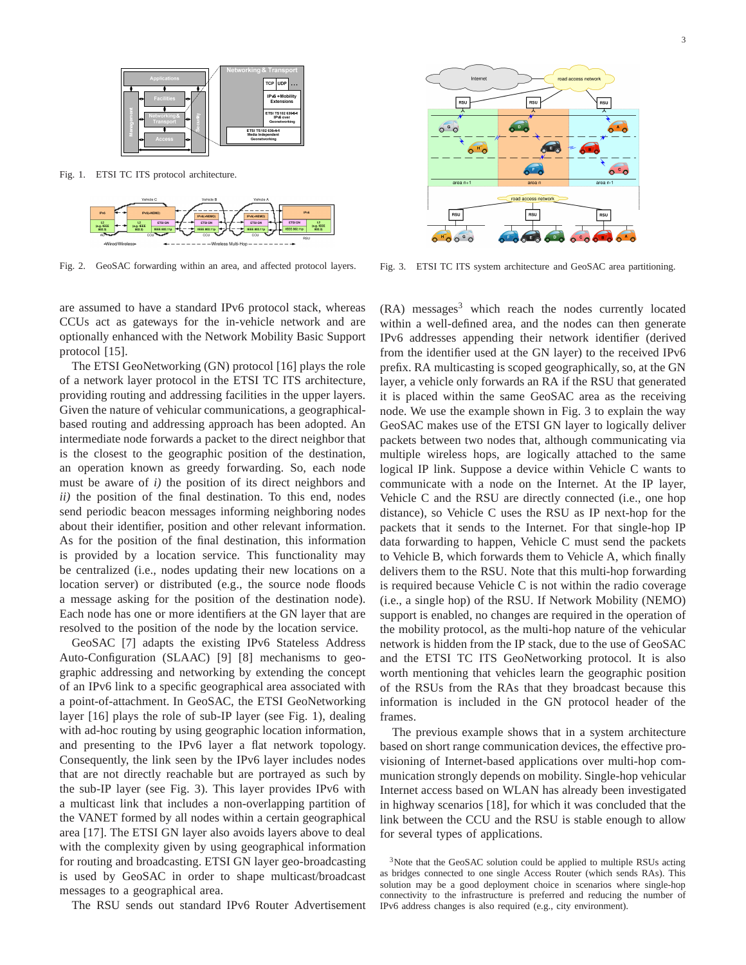

Fig. 1. ETSI TC ITS protocol architecture.



Fig. 2. GeoSAC forwarding within an area, and affected protocol layers.

are assumed to have a standard IPv6 protocol stack, whereas CCUs act as gateways for the in-vehicle network and are optionally enhanced with the Network Mobility Basic Support protocol [15].

The ETSI GeoNetworking (GN) protocol [16] plays the role of a network layer protocol in the ETSI TC ITS architecture, providing routing and addressing facilities in the upper layers. Given the nature of vehicular communications, a geographicalbased routing and addressing approach has been adopted. An intermediate node forwards a packet to the direct neighbor that is the closest to the geographic position of the destination, an operation known as greedy forwarding. So, each node must be aware of *i)* the position of its direct neighbors and *ii)* the position of the final destination. To this end, nodes send periodic beacon messages informing neighboring nodes about their identifier, position and other relevant information. As for the position of the final destination, this information is provided by a location service. This functionality may be centralized (i.e., nodes updating their new locations on a location server) or distributed (e.g., the source node floods a message asking for the position of the destination node). Each node has one or more identifiers at the GN layer that are resolved to the position of the node by the location service.

GeoSAC [7] adapts the existing IPv6 Stateless Address Auto-Configuration (SLAAC) [9] [8] mechanisms to geographic addressing and networking by extending the concept of an IPv6 link to a specific geographical area associated with a point-of-attachment. In GeoSAC, the ETSI GeoNetworking layer [16] plays the role of sub-IP layer (see Fig. 1), dealing with ad-hoc routing by using geographic location information, and presenting to the IPv6 layer a flat network topology. Consequently, the link seen by the IPv6 layer includes nodes that are not directly reachable but are portrayed as such by the sub-IP layer (see Fig. 3). This layer provides IPv6 with a multicast link that includes a non-overlapping partition of the VANET formed by all nodes within a certain geographical area [17]. The ETSI GN layer also avoids layers above to deal with the complexity given by using geographical information for routing and broadcasting. ETSI GN layer geo-broadcasting is used by GeoSAC in order to shape multicast/broadcast messages to a geographical area.

The RSU sends out standard IPv6 Router Advertisement



Fig. 3. ETSI TC ITS system architecture and GeoSAC area partitioning.

 $(RA)$  messages<sup>3</sup> which reach the nodes currently located within a well-defined area, and the nodes can then generate IPv6 addresses appending their network identifier (derived from the identifier used at the GN layer) to the received IPv6 prefix. RA multicasting is scoped geographically, so, at the GN layer, a vehicle only forwards an RA if the RSU that generated it is placed within the same GeoSAC area as the receiving node. We use the example shown in Fig. 3 to explain the way GeoSAC makes use of the ETSI GN layer to logically deliver packets between two nodes that, although communicating via multiple wireless hops, are logically attached to the same logical IP link. Suppose a device within Vehicle C wants to communicate with a node on the Internet. At the IP layer, Vehicle C and the RSU are directly connected (i.e., one hop distance), so Vehicle C uses the RSU as IP next-hop for the packets that it sends to the Internet. For that single-hop IP data forwarding to happen, Vehicle C must send the packets to Vehicle B, which forwards them to Vehicle A, which finally delivers them to the RSU. Note that this multi-hop forwarding is required because Vehicle C is not within the radio coverage (i.e., a single hop) of the RSU. If Network Mobility (NEMO) support is enabled, no changes are required in the operation of the mobility protocol, as the multi-hop nature of the vehicular network is hidden from the IP stack, due to the use of GeoSAC and the ETSI TC ITS GeoNetworking protocol. It is also worth mentioning that vehicles learn the geographic position of the RSUs from the RAs that they broadcast because this information is included in the GN protocol header of the frames.

The previous example shows that in a system architecture based on short range communication devices, the effective provisioning of Internet-based applications over multi-hop communication strongly depends on mobility. Single-hop vehicular Internet access based on WLAN has already been investigated in highway scenarios [18], for which it was concluded that the link between the CCU and the RSU is stable enough to allow for several types of applications.

<sup>3</sup>Note that the GeoSAC solution could be applied to multiple RSUs acting as bridges connected to one single Access Router (which sends RAs). This solution may be a good deployment choice in scenarios where single-hop connectivity to the infrastructure is preferred and reducing the number of IPv6 address changes is also required (e.g., city environment).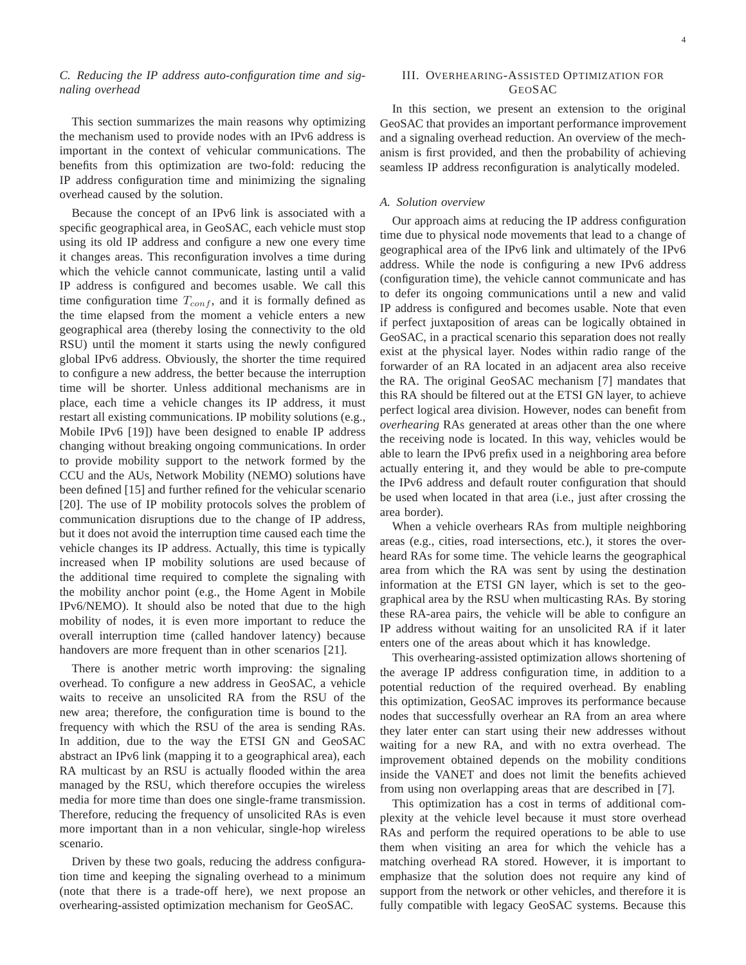# *C. Reducing the IP address auto-configuration time and signaling overhead*

This section summarizes the main reasons why optimizing the mechanism used to provide nodes with an IPv6 address is important in the context of vehicular communications. The benefits from this optimization are two-fold: reducing the IP address configuration time and minimizing the signaling overhead caused by the solution.

Because the concept of an IPv6 link is associated with a specific geographical area, in GeoSAC, each vehicle must stop using its old IP address and configure a new one every time it changes areas. This reconfiguration involves a time during which the vehicle cannot communicate, lasting until a valid IP address is configured and becomes usable. We call this time configuration time  $T_{conf}$ , and it is formally defined as the time elapsed from the moment a vehicle enters a new geographical area (thereby losing the connectivity to the old RSU) until the moment it starts using the newly configured global IPv6 address. Obviously, the shorter the time required to configure a new address, the better because the interruption time will be shorter. Unless additional mechanisms are in place, each time a vehicle changes its IP address, it must restart all existing communications. IP mobility solutions (e.g., Mobile IPv6 [19]) have been designed to enable IP address changing without breaking ongoing communications. In order to provide mobility support to the network formed by the CCU and the AUs, Network Mobility (NEMO) solutions have been defined [15] and further refined for the vehicular scenario [20]. The use of IP mobility protocols solves the problem of communication disruptions due to the change of IP address, but it does not avoid the interruption time caused each time the vehicle changes its IP address. Actually, this time is typically increased when IP mobility solutions are used because of the additional time required to complete the signaling with the mobility anchor point (e.g., the Home Agent in Mobile IPv6/NEMO). It should also be noted that due to the high mobility of nodes, it is even more important to reduce the overall interruption time (called handover latency) because handovers are more frequent than in other scenarios [21].

There is another metric worth improving: the signaling overhead. To configure a new address in GeoSAC, a vehicle waits to receive an unsolicited RA from the RSU of the new area; therefore, the configuration time is bound to the frequency with which the RSU of the area is sending RAs. In addition, due to the way the ETSI GN and GeoSAC abstract an IPv6 link (mapping it to a geographical area), each RA multicast by an RSU is actually flooded within the area managed by the RSU, which therefore occupies the wireless media for more time than does one single-frame transmission. Therefore, reducing the frequency of unsolicited RAs is even more important than in a non vehicular, single-hop wireless scenario.

Driven by these two goals, reducing the address configuration time and keeping the signaling overhead to a minimum (note that there is a trade-off here), we next propose an overhearing-assisted optimization mechanism for GeoSAC.

## III. OVERHEARING-ASSISTED OPTIMIZATION FOR GEOSAC

In this section, we present an extension to the original GeoSAC that provides an important performance improvement and a signaling overhead reduction. An overview of the mechanism is first provided, and then the probability of achieving seamless IP address reconfiguration is analytically modeled.

#### *A. Solution overview*

Our approach aims at reducing the IP address configuration time due to physical node movements that lead to a change of geographical area of the IPv6 link and ultimately of the IPv6 address. While the node is configuring a new IPv6 address (configuration time), the vehicle cannot communicate and has to defer its ongoing communications until a new and valid IP address is configured and becomes usable. Note that even if perfect juxtaposition of areas can be logically obtained in GeoSAC, in a practical scenario this separation does not really exist at the physical layer. Nodes within radio range of the forwarder of an RA located in an adjacent area also receive the RA. The original GeoSAC mechanism [7] mandates that this RA should be filtered out at the ETSI GN layer, to achieve perfect logical area division. However, nodes can benefit from *overhearing* RAs generated at areas other than the one where the receiving node is located. In this way, vehicles would be able to learn the IPv6 prefix used in a neighboring area before actually entering it, and they would be able to pre-compute the IPv6 address and default router configuration that should be used when located in that area (i.e., just after crossing the area border).

When a vehicle overhears RAs from multiple neighboring areas (e.g., cities, road intersections, etc.), it stores the overheard RAs for some time. The vehicle learns the geographical area from which the RA was sent by using the destination information at the ETSI GN layer, which is set to the geographical area by the RSU when multicasting RAs. By storing these RA-area pairs, the vehicle will be able to configure an IP address without waiting for an unsolicited RA if it later enters one of the areas about which it has knowledge.

This overhearing-assisted optimization allows shortening of the average IP address configuration time, in addition to a potential reduction of the required overhead. By enabling this optimization, GeoSAC improves its performance because nodes that successfully overhear an RA from an area where they later enter can start using their new addresses without waiting for a new RA, and with no extra overhead. The improvement obtained depends on the mobility conditions inside the VANET and does not limit the benefits achieved from using non overlapping areas that are described in [7].

This optimization has a cost in terms of additional complexity at the vehicle level because it must store overhead RAs and perform the required operations to be able to use them when visiting an area for which the vehicle has a matching overhead RA stored. However, it is important to emphasize that the solution does not require any kind of support from the network or other vehicles, and therefore it is fully compatible with legacy GeoSAC systems. Because this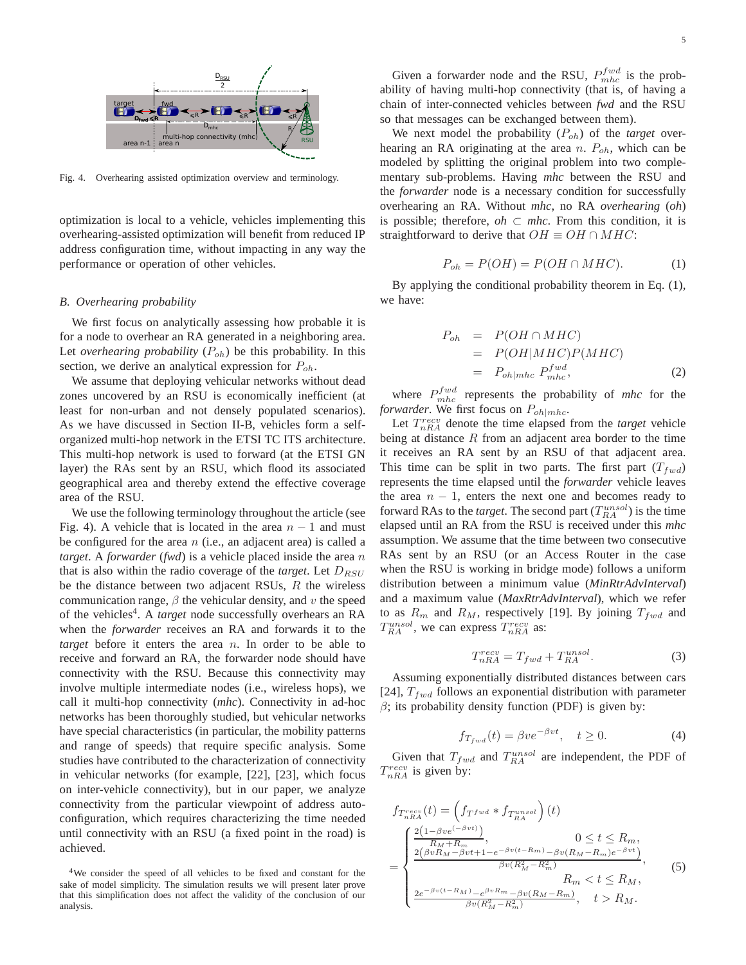

Fig. 4. Overhearing assisted optimization overview and terminology.

optimization is local to a vehicle, vehicles implementing this overhearing-assisted optimization will benefit from reduced IP address configuration time, without impacting in any way the performance or operation of other vehicles.

## *B. Overhearing probability*

We first focus on analytically assessing how probable it is for a node to overhear an RA generated in a neighboring area. Let *overhearing probability*  $(P_{oh})$  be this probability. In this section, we derive an analytical expression for  $P_{oh}$ .

We assume that deploying vehicular networks without dead zones uncovered by an RSU is economically inefficient (at least for non-urban and not densely populated scenarios). As we have discussed in Section II-B, vehicles form a selforganized multi-hop network in the ETSI TC ITS architecture. This multi-hop network is used to forward (at the ETSI GN layer) the RAs sent by an RSU, which flood its associated geographical area and thereby extend the effective coverage area of the RSU.

We use the following terminology throughout the article (see Fig. 4). A vehicle that is located in the area  $n - 1$  and must be configured for the area  $n$  (i.e., an adjacent area) is called a *target*. A *forwarder* (*fwd*) is a vehicle placed inside the area n that is also within the radio coverage of the *target*. Let  $D_{RSU}$ be the distance between two adjacent RSUs,  $R$  the wireless communication range,  $\beta$  the vehicular density, and v the speed of the vehicles<sup>4</sup>. A *target* node successfully overhears an RA when the *forwarder* receives an RA and forwards it to the *target* before it enters the area n. In order to be able to receive and forward an RA, the forwarder node should have connectivity with the RSU. Because this connectivity may involve multiple intermediate nodes (i.e., wireless hops), we call it multi-hop connectivity (*mhc*). Connectivity in ad-hoc networks has been thoroughly studied, but vehicular networks have special characteristics (in particular, the mobility patterns and range of speeds) that require specific analysis. Some studies have contributed to the characterization of connectivity in vehicular networks (for example, [22], [23], which focus on inter-vehicle connectivity), but in our paper, we analyze connectivity from the particular viewpoint of address autoconfiguration, which requires characterizing the time needed until connectivity with an RSU (a fixed point in the road) is achieved.

Given a forwarder node and the RSU,  $P_{mhc}^{fwd}$  is the probability of having multi-hop connectivity (that is, of having a chain of inter-connected vehicles between *fwd* and the RSU so that messages can be exchanged between them).

We next model the probability ( $P_{oh}$ ) of the *target* overhearing an RA originating at the area n.  $P_{oh}$ , which can be modeled by splitting the original problem into two complementary sub-problems. Having *mhc* between the RSU and the *forwarder* node is a necessary condition for successfully overhearing an RA. Without *mhc*, no RA *overhearing* (*oh*) is possible; therefore,  $oh \subset mhc$ . From this condition, it is straightforward to derive that  $OH \equiv OH \cap MHC$ :

$$
P_{oh} = P(OH) = P(OH \cap MHC). \tag{1}
$$

By applying the conditional probability theorem in Eq. (1), we have:

$$
P_{oh} = P(OH \cap MHC)
$$
  
=  $P(OH | MHC)P(MHC)$   
=  $P_{oh|mhc} P_{mhc}^{fwd}$ , (2)

where  $P_{mhc}^{fwd}$  represents the probability of *mhc* for the *forwarder*. We first focus on  $P_{oh|mhc}$ .

Let  $T_{nRA}^{recv}$  denote the time elapsed from the *target* vehicle being at distance  $R$  from an adjacent area border to the time it receives an RA sent by an RSU of that adjacent area. This time can be split in two parts. The first part  $(T_{fwd})$ represents the time elapsed until the *forwarder* vehicle leaves the area  $n - 1$ , enters the next one and becomes ready to forward RAs to the *target*. The second part  $(T_{RA}^{unsol})$  is the time elapsed until an RA from the RSU is received under this *mhc* assumption. We assume that the time between two consecutive RAs sent by an RSU (or an Access Router in the case when the RSU is working in bridge mode) follows a uniform distribution between a minimum value (*MinRtrAdvInterval*) and a maximum value (*MaxRtrAdvInterval*), which we refer to as  $R_m$  and  $R_M$ , respectively [19]. By joining  $T_{fwd}$  and  $T_{RA}^{unsol}$ , we can express  $T_{nRA}^{recv}$  as:

$$
T_{nRA}^{recv} = T_{fwd} + T_{RA}^{unsol}.
$$
 (3)

Assuming exponentially distributed distances between cars [24],  $T_{fwd}$  follows an exponential distribution with parameter  $\beta$ ; its probability density function (PDF) is given by:

$$
f_{T_{fwd}}(t) = \beta v e^{-\beta vt}, \quad t \ge 0.
$$
 (4)

Given that  $T_{fwd}$  and  $T_{RA}^{unsol}$  are independent, the PDF of  $T_{nRA}^{recv}$  is given by:

$$
f_{T_{nRA}^{recv}}(t) = \left(f_{T^{fwd}} * f_{T_{RA}^{unsol}}\right)(t)
$$
\n
$$
= \begin{cases}\n\frac{2(1 - \beta ve^{(-\beta vt)})}{R_M + R_m}, & 0 \le t \le R_m, \\
\frac{2(\beta v R_M - \beta vt + 1 - e^{-\beta v (t - R_m)} - \beta v (R_M - R_m)e^{-\beta vt})}{\beta v (R_M^2 - R_m^2)}, & R_m < t \le R_M, \\
\frac{2e^{-\beta v (t - R_M)} - e^{\beta v R_m} - \beta v (R_M - R_m)}{\beta v (R_M^2 - R_m^2)}, & t > R_M.\n\end{cases}
$$
\n
$$
(5)
$$

<sup>4</sup>We consider the speed of all vehicles to be fixed and constant for the sake of model simplicity. The simulation results we will present later prove that this simplification does not affect the validity of the conclusion of our analysis.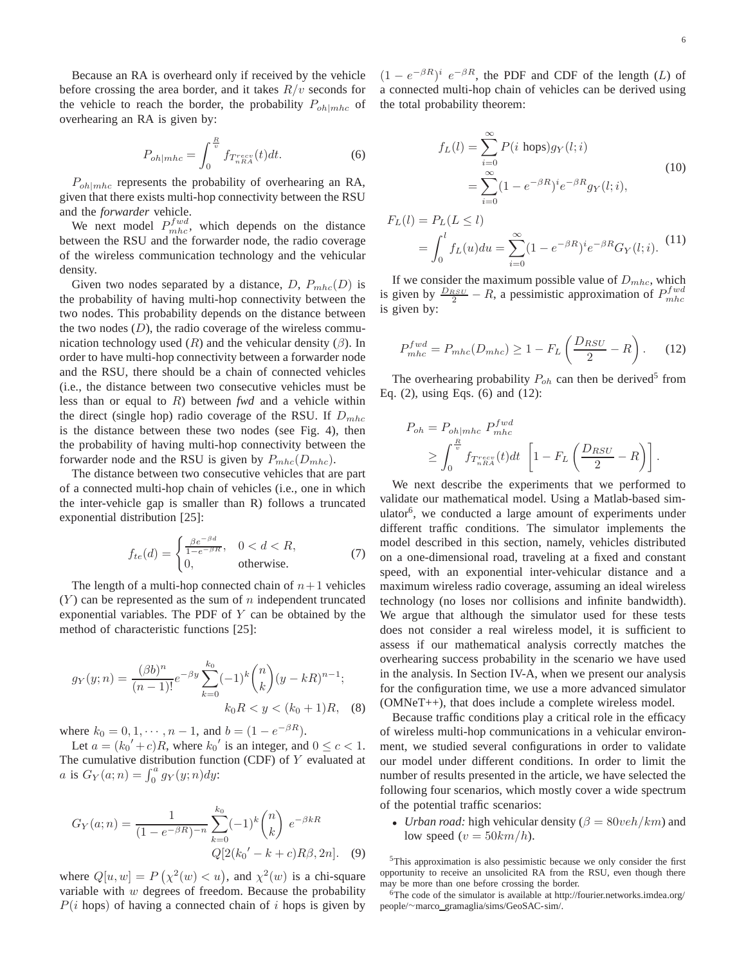Because an RA is overheard only if received by the vehicle before crossing the area border, and it takes  $R/v$  seconds for the vehicle to reach the border, the probability  $P_{oh|mlc}$  of overhearing an RA is given by:

$$
P_{oh|mhc} = \int_0^{\frac{R}{v}} f_{T_{nRA}^{recv}}(t)dt.
$$
 (6)

 $P_{oh|mbc}$  represents the probability of overhearing an RA, given that there exists multi-hop connectivity between the RSU and the *forwarder* vehicle.

We next model  $P_{mhc}^{fwd}$ , which depends on the distance between the RSU and the forwarder node, the radio coverage of the wireless communication technology and the vehicular density.

Given two nodes separated by a distance, D,  $P_{mhc}(D)$  is the probability of having multi-hop connectivity between the two nodes. This probability depends on the distance between the two nodes  $(D)$ , the radio coverage of the wireless communication technology used  $(R)$  and the vehicular density  $(\beta)$ . In order to have multi-hop connectivity between a forwarder node and the RSU, there should be a chain of connected vehicles (i.e., the distance between two consecutive vehicles must be less than or equal to R) between *fwd* and a vehicle within the direct (single hop) radio coverage of the RSU. If  $D_{mhc}$ is the distance between these two nodes (see Fig. 4), then the probability of having multi-hop connectivity between the forwarder node and the RSU is given by  $P_{mhc}(D_{mhc})$ .

The distance between two consecutive vehicles that are part of a connected multi-hop chain of vehicles (i.e., one in which the inter-vehicle gap is smaller than R) follows a truncated exponential distribution [25]:

$$
f_{te}(d) = \begin{cases} \frac{\beta e^{-\beta d}}{1 - e^{-\beta R}}, & 0 < d < R, \\ 0, & \text{otherwise.} \end{cases}
$$
 (7)

The length of a multi-hop connected chain of  $n+1$  vehicles  $(Y)$  can be represented as the sum of n independent truncated exponential variables. The PDF of Y can be obtained by the method of characteristic functions [25]:

$$
g_Y(y;n) = \frac{(\beta b)^n}{(n-1)!} e^{-\beta y} \sum_{k=0}^{k_0} (-1)^k {n \choose k} (y - kR)^{n-1};
$$
  

$$
k_0 R < y < (k_0 + 1)R, \quad (8)
$$

where  $k_0 = 0, 1, \dots, n - 1$ , and  $b = (1 - e^{-\beta R})$ .

Let  $a = (k_0' + c)R$ , where  $k_0'$  is an integer, and  $0 \le c < 1$ . The cumulative distribution function (CDF) of  $Y$  evaluated at *a* is  $G_Y(a; n) = \int_0^a g_Y(y; n) dy$ :

$$
G_Y(a;n) = \frac{1}{(1 - e^{-\beta R})^{-n}} \sum_{k=0}^{k_0} (-1)^k {n \choose k} e^{-\beta k R}
$$

$$
Q[2(k_0' - k + c)R\beta, 2n]. \quad (9)
$$

where  $Q[u, w] = P(\chi^2(w) < u)$ , and  $\chi^2(w)$  is a chi-square variable with  $w$  degrees of freedom. Because the probability  $P(i \text{ hops})$  of having a connected chain of i hops is given by

 $(1 - e^{-\beta R})^i e^{-\beta R}$ , the PDF and CDF of the length (L) of a connected multi-hop chain of vehicles can be derived using the total probability theorem:

$$
f_L(l) = \sum_{i=0}^{\infty} P(i \text{ hops}) g_Y(l; i)
$$
  
= 
$$
\sum_{i=0}^{\infty} (1 - e^{-\beta R})^i e^{-\beta R} g_Y(l; i),
$$
 (10)

$$
F_L(l) = P_L(L \le l)
$$
  
= 
$$
\int_0^l f_L(u) du = \sum_{i=0}^\infty (1 - e^{-\beta R})^i e^{-\beta R} G_Y(l; i).
$$
 (11)

If we consider the maximum possible value of  $D_{mhc}$ , which is given by  $\frac{D_{RSU}}{2} - R$ , a pessimistic approximation of  $P_{mhc}^{fwd}$ is given by:

$$
P_{mhc}^{fwd} = P_{mhc}(D_{mhc}) \ge 1 - F_L \left(\frac{D_{RSU}}{2} - R\right). \tag{12}
$$

The overhearing probability  $P_{oh}$  can then be derived<sup>5</sup> from Eq. (2), using Eqs. (6) and (12):

$$
P_{oh} = P_{oh|mhc} P_{mhc}^{fwd}
$$
  
\n
$$
\geq \int_0^{\frac{R}{v}} f_{T_{nRA}^{recv}}(t) dt \left[ 1 - F_L \left( \frac{D_{RSU}}{2} - R \right) \right].
$$

We next describe the experiments that we performed to validate our mathematical model. Using a Matlab-based simulator<sup>6</sup>, we conducted a large amount of experiments under different traffic conditions. The simulator implements the model described in this section, namely, vehicles distributed on a one-dimensional road, traveling at a fixed and constant speed, with an exponential inter-vehicular distance and a maximum wireless radio coverage, assuming an ideal wireless technology (no loses nor collisions and infinite bandwidth). We argue that although the simulator used for these tests does not consider a real wireless model, it is sufficient to assess if our mathematical analysis correctly matches the overhearing success probability in the scenario we have used in the analysis. In Section IV-A, when we present our analysis for the configuration time, we use a more advanced simulator (OMNeT++), that does include a complete wireless model.

Because traffic conditions play a critical role in the efficacy of wireless multi-hop communications in a vehicular environment, we studied several configurations in order to validate our model under different conditions. In order to limit the number of results presented in the article, we have selected the following four scenarios, which mostly cover a wide spectrum of the potential traffic scenarios:

• *Urban road:* high vehicular density ( $\beta = 80$ *veh*/ $km$ ) and low speed ( $v = 50km/h$ ).

<sup>5</sup>This approximation is also pessimistic because we only consider the first opportunity to receive an unsolicited RA from the RSU, even though there may be more than one before crossing the border.

<sup>6</sup>The code of the simulator is available at http://fourier.networks.imdea.org/ people/∼marco gramaglia/sims/GeoSAC-sim/.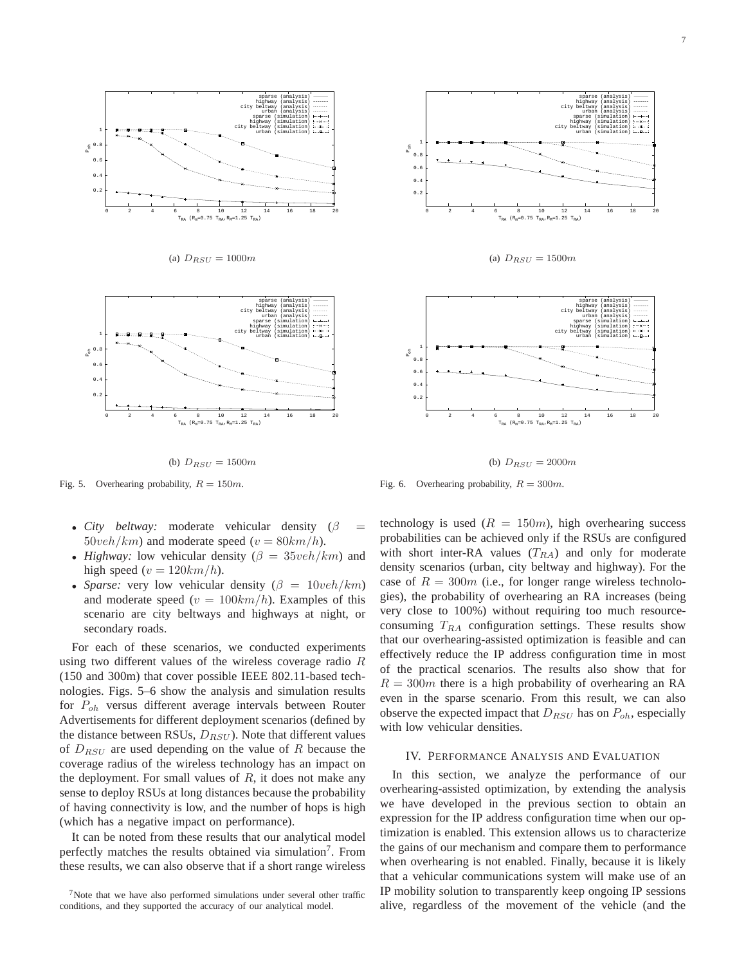

(a)  $D_{RSU} = 1000m$ 



(b)  $D_{RSU} = 1500m$ 

Fig. 5. Overhearing probability,  $R = 150m$ .

- *City beltway:* moderate vehicular density  $(\beta$  $50veh/km$ ) and moderate speed ( $v = 80km/h$ ).
- *Highway:* low vehicular density  $(\beta = 35veh/km)$  and high speed ( $v = 120km/h$ ).
- *Sparse:* very low vehicular density  $(\beta = 10 \text{veh}/\text{km})$ and moderate speed  $(v = 100km/h)$ . Examples of this scenario are city beltways and highways at night, or secondary roads.

For each of these scenarios, we conducted experiments using two different values of the wireless coverage radio R (150 and 300m) that cover possible IEEE 802.11-based technologies. Figs. 5–6 show the analysis and simulation results for  $P_{oh}$  versus different average intervals between Router Advertisements for different deployment scenarios (defined by the distance between RSUs,  $D_{RSU}$ ). Note that different values of  $D_{RSU}$  are used depending on the value of R because the coverage radius of the wireless technology has an impact on the deployment. For small values of  $R$ , it does not make any sense to deploy RSUs at long distances because the probability of having connectivity is low, and the number of hops is high (which has a negative impact on performance).

It can be noted from these results that our analytical model perfectly matches the results obtained via simulation<sup>7</sup>. From these results, we can also observe that if a short range wireless



(a)  $D_{RSU} = 1500m$ 



(b)  $D_{RSU} = 2000m$ 

Fig. 6. Overhearing probability,  $R = 300m$ .

technology is used  $(R = 150m)$ , high overhearing success probabilities can be achieved only if the RSUs are configured with short inter-RA values  $(T_{RA})$  and only for moderate density scenarios (urban, city beltway and highway). For the case of  $R = 300m$  (i.e., for longer range wireless technologies), the probability of overhearing an RA increases (being very close to 100%) without requiring too much resourceconsuming  $T_{RA}$  configuration settings. These results show that our overhearing-assisted optimization is feasible and can effectively reduce the IP address configuration time in most of the practical scenarios. The results also show that for  $R = 300m$  there is a high probability of overhearing an RA even in the sparse scenario. From this result, we can also observe the expected impact that  $D_{RSU}$  has on  $P_{oh}$ , especially with low vehicular densities.

## IV. PERFORMANCE ANALYSIS AND EVALUATION

In this section, we analyze the performance of our overhearing-assisted optimization, by extending the analysis we have developed in the previous section to obtain an expression for the IP address configuration time when our optimization is enabled. This extension allows us to characterize the gains of our mechanism and compare them to performance when overhearing is not enabled. Finally, because it is likely that a vehicular communications system will make use of an IP mobility solution to transparently keep ongoing IP sessions alive, regardless of the movement of the vehicle (and the

 $7$ Note that we have also performed simulations under several other traffic conditions, and they supported the accuracy of our analytical model.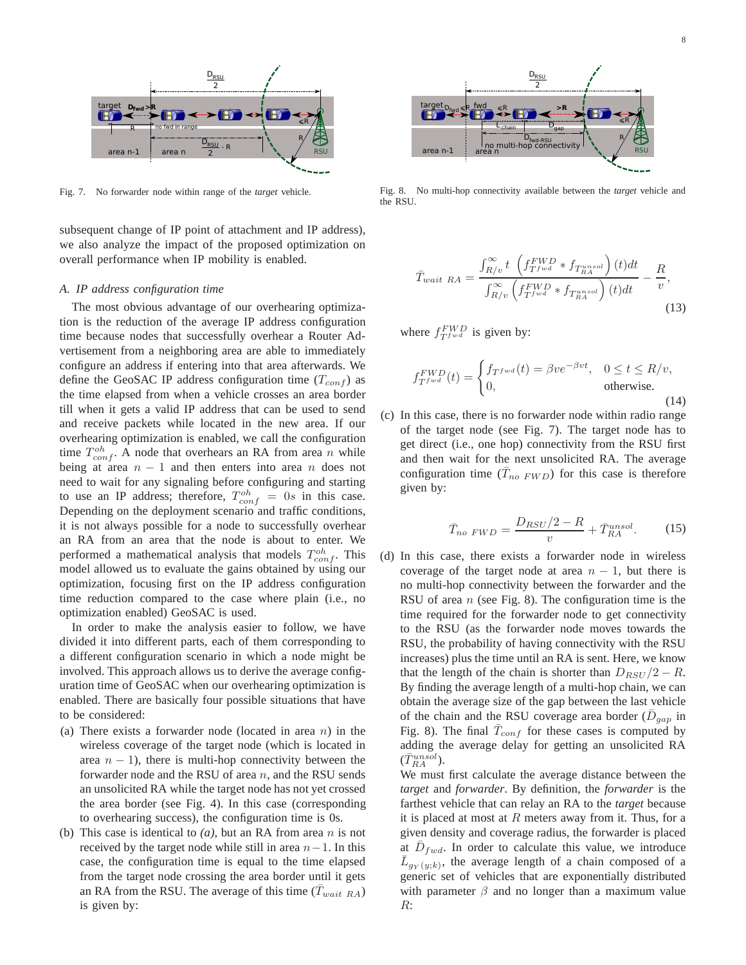

Fig. 7. No forwarder node within range of the *target* vehicle.

subsequent change of IP point of attachment and IP address), we also analyze the impact of the proposed optimization on overall performance when IP mobility is enabled.

#### *A. IP address configuration time*

The most obvious advantage of our overhearing optimization is the reduction of the average IP address configuration time because nodes that successfully overhear a Router Advertisement from a neighboring area are able to immediately configure an address if entering into that area afterwards. We define the GeoSAC IP address configuration time  $(T_{conf})$  as the time elapsed from when a vehicle crosses an area border till when it gets a valid IP address that can be used to send and receive packets while located in the new area. If our overhearing optimization is enabled, we call the configuration time  $T_{conf}^{oh}$ . A node that overhears an RA from area n while being at area  $n - 1$  and then enters into area n does not need to wait for any signaling before configuring and starting to use an IP address; therefore,  $T_{conf}^{oh} = 0s$  in this case. Depending on the deployment scenario and traffic conditions, it is not always possible for a node to successfully overhear an RA from an area that the node is about to enter. We performed a mathematical analysis that models  $T_{conf}^{oh}$ . This model allowed us to evaluate the gains obtained by using our optimization, focusing first on the IP address configuration time reduction compared to the case where plain (i.e., no optimization enabled) GeoSAC is used.

In order to make the analysis easier to follow, we have divided it into different parts, each of them corresponding to a different configuration scenario in which a node might be involved. This approach allows us to derive the average configuration time of GeoSAC when our overhearing optimization is enabled. There are basically four possible situations that have to be considered:

- (a) There exists a forwarder node (located in area  $n$ ) in the wireless coverage of the target node (which is located in area  $n - 1$ ), there is multi-hop connectivity between the forwarder node and the RSU of area  $n$ , and the RSU sends an unsolicited RA while the target node has not yet crossed the area border (see Fig. 4). In this case (corresponding to overhearing success), the configuration time is 0s.
- (b) This case is identical to  $(a)$ , but an RA from area n is not received by the target node while still in area  $n-1$ . In this case, the configuration time is equal to the time elapsed from the target node crossing the area border until it gets an RA from the RSU. The average of this time  $(T_{wait, RA})$ is given by:



Fig. 8. No multi-hop connectivity available between the *target* vehicle and the RSU.

$$
\bar{T}_{wait\ RA} = \frac{\int_{R/v}^{\infty} t \left( f_{T^{fwd}}^{FWD} * f_{T_{RA}^{unsol}} \right) (t) dt}{\int_{R/v}^{\infty} \left( f_{T^{fwd}}^{FWD} * f_{T_{RA}^{unsol}} \right) (t) dt} - \frac{R}{v},\tag{13}
$$

where  $f_{Tfwd}^{FWD}$  is given by:

$$
f_{T^{\text{fwd}}}^{FWD}(t) = \begin{cases} f_{T^{\text{fwd}}}(t) = \beta v e^{-\beta v t}, & 0 \le t \le R/v, \\ 0, & \text{otherwise.} \end{cases}
$$
(14)

(c) In this case, there is no forwarder node within radio range of the target node (see Fig. 7). The target node has to get direct (i.e., one hop) connectivity from the RSU first and then wait for the next unsolicited RA. The average configuration time  $(\bar{T}_{no\ FWD})$  for this case is therefore given by:

$$
\bar{T}_{no\ FWD} = \frac{D_{RSU}/2 - R}{v} + \bar{T}_{RA}^{unsol}.
$$
 (15)

(d) In this case, there exists a forwarder node in wireless coverage of the target node at area  $n - 1$ , but there is no multi-hop connectivity between the forwarder and the RSU of area  $n$  (see Fig. 8). The configuration time is the time required for the forwarder node to get connectivity to the RSU (as the forwarder node moves towards the RSU, the probability of having connectivity with the RSU increases) plus the time until an RA is sent. Here, we know that the length of the chain is shorter than  $D_{RSU}/2 - R$ . By finding the average length of a multi-hop chain, we can obtain the average size of the gap between the last vehicle of the chain and the RSU coverage area border ( $\bar{D}_{gap}$  in Fig. 8). The final  $\bar{T}_{conf}$  for these cases is computed by adding the average delay for getting an unsolicited RA  $(\bar{T}_{RA}^{unsol}).$ 

We must first calculate the average distance between the *target* and *forwarder*. By definition, the *forwarder* is the farthest vehicle that can relay an RA to the *target* because it is placed at most at  $R$  meters away from it. Thus, for a given density and coverage radius, the forwarder is placed at  $\bar{D}_{fwd}$ . In order to calculate this value, we introduce  $\overline{L}_{g_Y(y;k)}$ , the average length of a chain composed of a generic set of vehicles that are exponentially distributed with parameter  $\beta$  and no longer than a maximum value R: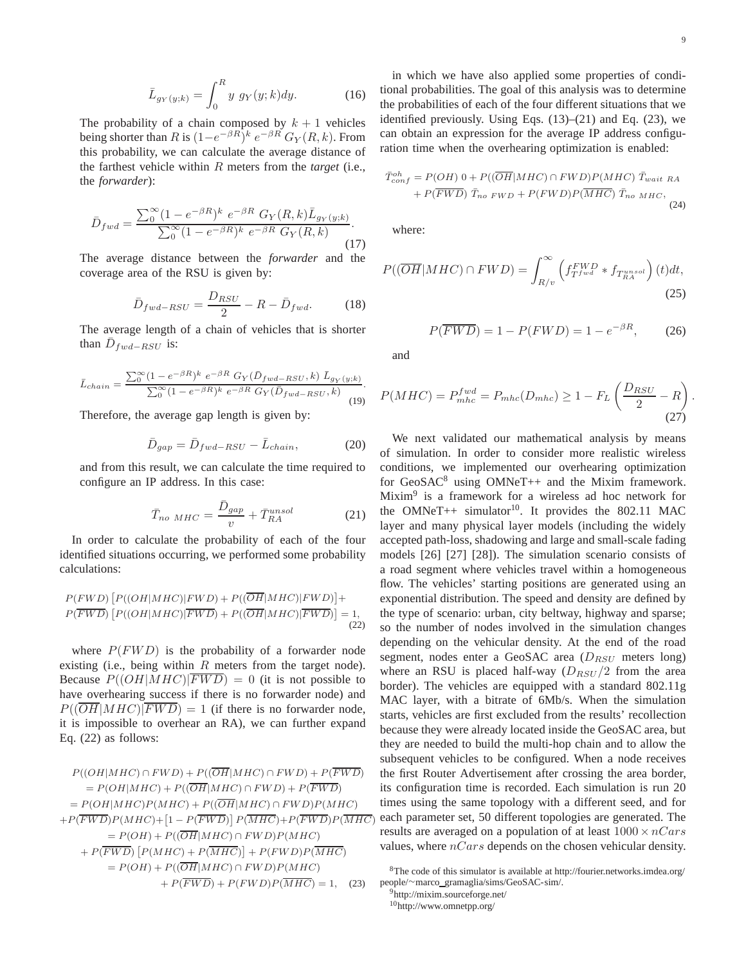The probability of a chain composed by  $k + 1$  vehicles being shorter than R is  $(1-e^{-\beta R})^k e^{-\beta R} G_Y(R, k)$ . From this probability, we can calculate the average distance of the farthest vehicle within R meters from the *target* (i.e., the *forwarder*):

$$
\bar{D}_{fwd} = \frac{\sum_{0}^{\infty} (1 - e^{-\beta R})^k \ e^{-\beta R} \ G_Y(R, k) \bar{L}_{g_Y(y;k)}}{\sum_{0}^{\infty} (1 - e^{-\beta R})^k \ e^{-\beta R} \ G_Y(R, k)}
$$
\n(17)

The average distance between the *forwarder* and the coverage area of the RSU is given by:

$$
\bar{D}_{fwd-RSU} = \frac{D_{RSU}}{2} - R - \bar{D}_{fwd}.
$$
 (18)

The average length of a chain of vehicles that is shorter than  $\overline{D}_{fwd-RSU}$  is:

$$
\bar{L}_{chain} = \frac{\sum_{0}^{\infty} (1 - e^{-\beta R})^k e^{-\beta R} G_Y(\bar{D}_{fwd-RSU}, k) \bar{L}_{g_Y(y;k)}}{\sum_{0}^{\infty} (1 - e^{-\beta R})^k e^{-\beta R} G_Y(\bar{D}_{fwd-RSU}, k)}
$$
(19)

Therefore, the average gap length is given by:

$$
\bar{D}_{gap} = \bar{D}_{fwd-RSU} - \bar{L}_{chain},\qquad(20)
$$

and from this result, we can calculate the time required to configure an IP address. In this case:

$$
\bar{T}_{no\ MHC} = \frac{\bar{D}_{gap}}{v} + \bar{T}_{RA}^{unsol}
$$
 (21)

In order to calculate the probability of each of the four identified situations occurring, we performed some probability calculations:

$$
P(FWD) [P((OH|MHC)|FWD) + P((\overline{OH}|MHC)|FWD)] + P(\overline{FWD}) [P((OH|MHC)|\overline{FWD}) + P((\overline{OH}|MHC)|\overline{FWD})] = 1,
$$
\n(22)

where  $P(FWD)$  is the probability of a forwarder node existing (i.e., being within  $R$  meters from the target node). Because  $P((OH|MHC)|\overline{FWD}) = 0$  (it is not possible to have overhearing success if there is no forwarder node) and  $P((\overline{OH}|MHC)|\overline{FWD}) = 1$  (if there is no forwarder node, it is impossible to overhear an RA), we can further expand Eq. (22) as follows:

$$
P((OH|MHC) \cap FWD) + P((\overline{OH}|MHC) \cap FWD) + P(\overline{FWD})
$$
  
=  $P(OH|MHC) + P((\overline{OH}|MHC) \cap FWD) + P(\overline{FWD})$   
=  $P(OH|MHC)P(MHC) + P((\overline{OH}|MHC) \cap FWD)P(MHC)$   
+  $P(\overline{FWD})P(MHC) + [1 - P(\overline{FWD})] P(\overline{MHC}) + P(\overline{FWD})P(\overline{MHC})$   
=  $P(OH) + P((\overline{OH}|MHC) \cap FWD)P(MHC)$   
+  $P(\overline{FWD}) [P(MHC) + P(\overline{MHC})] + P(FWD)P(\overline{MHC})$   
=  $P(OH) + P((\overline{OH}|MHC) \cap FWD)P(MHC)$   
+  $P(\overline{FWD}) + P(FWD)P(\overline{MHC}) = 1$ , (23)

.

in which we have also applied some properties of conditional probabilities. The goal of this analysis was to determine the probabilities of each of the four different situations that we identified previously. Using Eqs.  $(13)$ – $(21)$  and Eq.  $(23)$ , we can obtain an expression for the average IP address configuration time when the overhearing optimization is enabled:

$$
\bar{T}_{conf}^{oh} = P(OH) \ 0 + P((\overline{OH}|MHC) \cap FWD)P(MHC) \ \bar{T}_{wait\ RA} \n+ P(\overline{FWD}) \ \bar{T}_{no\ FWD} + P(FWD)P(\overline{MHC}) \ \bar{T}_{no\ MHC},
$$
\n(24)

where:

$$
P((\overline{OH}|MHC) \cap FWD) = \int_{R/v}^{\infty} \left( f_{T^{fwd}}^{FWD} * f_{T^{unsol}_{RA}} \right) (t) dt,
$$
\n(25)

$$
P(\overline{FWD}) = 1 - P(FWD) = 1 - e^{-\beta R}, \qquad (26)
$$

and

$$
P(MHC) = P_{mhc}^{fwd} = P_{mhc}(D_{mhc}) \ge 1 - F_L \left(\frac{D_{RSU}}{2} - R\right)
$$
\n(27)

We next validated our mathematical analysis by means of simulation. In order to consider more realistic wireless conditions, we implemented our overhearing optimization for  $GeoSAC<sup>8</sup>$  using  $OMNeT++$  and the Mixim framework. Mixim<sup>9</sup> is a framework for a wireless ad hoc network for the OMNeT++ simulator<sup>10</sup>. It provides the 802.11 MAC layer and many physical layer models (including the widely accepted path-loss, shadowing and large and small-scale fading models [26] [27] [28]). The simulation scenario consists of a road segment where vehicles travel within a homogeneous flow. The vehicles' starting positions are generated using an exponential distribution. The speed and density are defined by the type of scenario: urban, city beltway, highway and sparse; so the number of nodes involved in the simulation changes depending on the vehicular density. At the end of the road segment, nodes enter a GeoSAC area  $(D_{RSU})$  meters long) where an RSU is placed half-way  $(D_{RSU}/2)$  from the area border). The vehicles are equipped with a standard 802.11g MAC layer, with a bitrate of 6Mb/s. When the simulation starts, vehicles are first excluded from the results' recollection because they were already located inside the GeoSAC area, but they are needed to build the multi-hop chain and to allow the subsequent vehicles to be configured. When a node receives the first Router Advertisement after crossing the area border, its configuration time is recorded. Each simulation is run 20 times using the same topology with a different seed, and for each parameter set, 50 different topologies are generated. The results are averaged on a population of at least  $1000 \times nCars$ values, where  $nCars$  depends on the chosen vehicular density.

<sup>8</sup>The code of this simulator is available at http://fourier.networks.imdea.org/ people/∼marco gramaglia/sims/GeoSAC-sim/.

<sup>9</sup>http://mixim.sourceforge.net/ <sup>10</sup>http://www.omnetpp.org/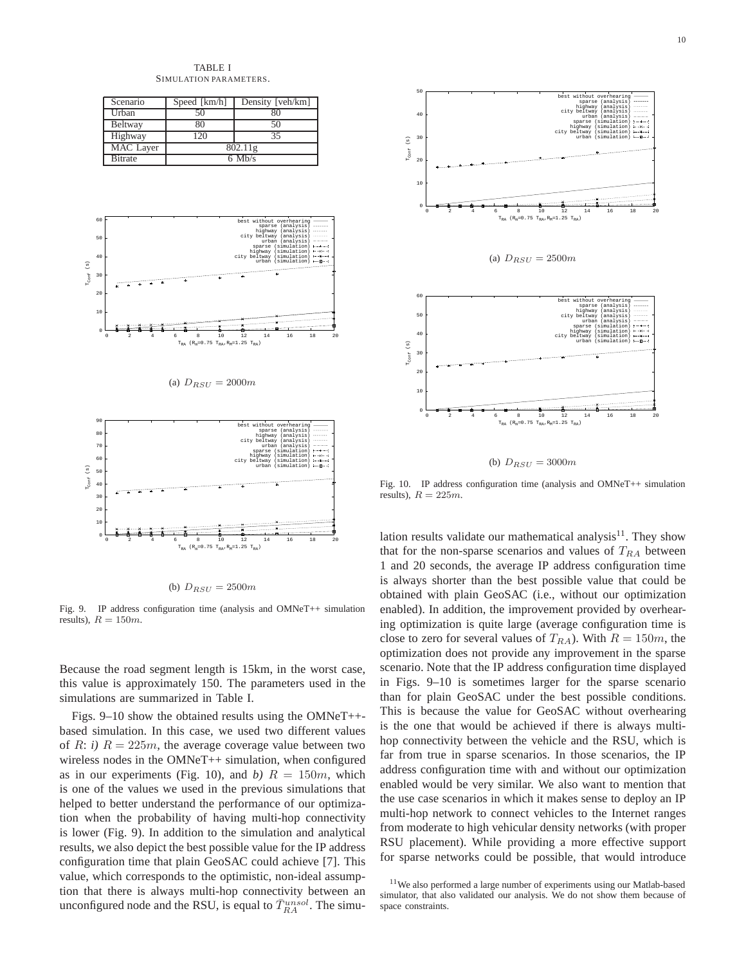TABLE I SIMULATION PARAMETERS.

| Scenario        | Speed [km/h] | Density [veh/km] |  |  |  |
|-----------------|--------------|------------------|--|--|--|
| Urban           | 50           |                  |  |  |  |
| Beltway         | 80           | 50               |  |  |  |
| Highway         | 120          | 35               |  |  |  |
| MAC Layer       | 802.11g      |                  |  |  |  |
| <b>B</b> itrate | $6$ Mb/s     |                  |  |  |  |









Fig. 9. IP address configuration time (analysis and OMNeT++ simulation results),  $R = 150m$ .

Because the road segment length is 15km, in the worst case, this value is approximately 150. The parameters used in the simulations are summarized in Table I.

Figs. 9–10 show the obtained results using the OMNeT++ based simulation. In this case, we used two different values of R: *i*)  $R = 225m$ , the average coverage value between two wireless nodes in the OMNeT++ simulation, when configured as in our experiments (Fig. 10), and *b*)  $R = 150m$ , which is one of the values we used in the previous simulations that helped to better understand the performance of our optimization when the probability of having multi-hop connectivity is lower (Fig. 9). In addition to the simulation and analytical results, we also depict the best possible value for the IP address configuration time that plain GeoSAC could achieve [7]. This value, which corresponds to the optimistic, non-ideal assumption that there is always multi-hop connectivity between an unconfigured node and the RSU, is equal to  $\bar{T}_{RA}^{unsol}$ . The simu-



(b)  $D_{RSU} = 3000m$ 

Fig. 10. IP address configuration time (analysis and OMNeT++ simulation results),  $R = 225m$ .

lation results validate our mathematical analysis<sup>11</sup>. They show that for the non-sparse scenarios and values of  $T<sub>RA</sub>$  between 1 and 20 seconds, the average IP address configuration time is always shorter than the best possible value that could be obtained with plain GeoSAC (i.e., without our optimization enabled). In addition, the improvement provided by overhearing optimization is quite large (average configuration time is close to zero for several values of  $T_{RA}$ ). With  $R = 150m$ , the optimization does not provide any improvement in the sparse scenario. Note that the IP address configuration time displayed in Figs. 9–10 is sometimes larger for the sparse scenario than for plain GeoSAC under the best possible conditions. This is because the value for GeoSAC without overhearing is the one that would be achieved if there is always multihop connectivity between the vehicle and the RSU, which is far from true in sparse scenarios. In those scenarios, the IP address configuration time with and without our optimization enabled would be very similar. We also want to mention that the use case scenarios in which it makes sense to deploy an IP multi-hop network to connect vehicles to the Internet ranges from moderate to high vehicular density networks (with proper RSU placement). While providing a more effective support for sparse networks could be possible, that would introduce

<sup>11</sup>We also performed a large number of experiments using our Matlab-based simulator, that also validated our analysis. We do not show them because of space constraints.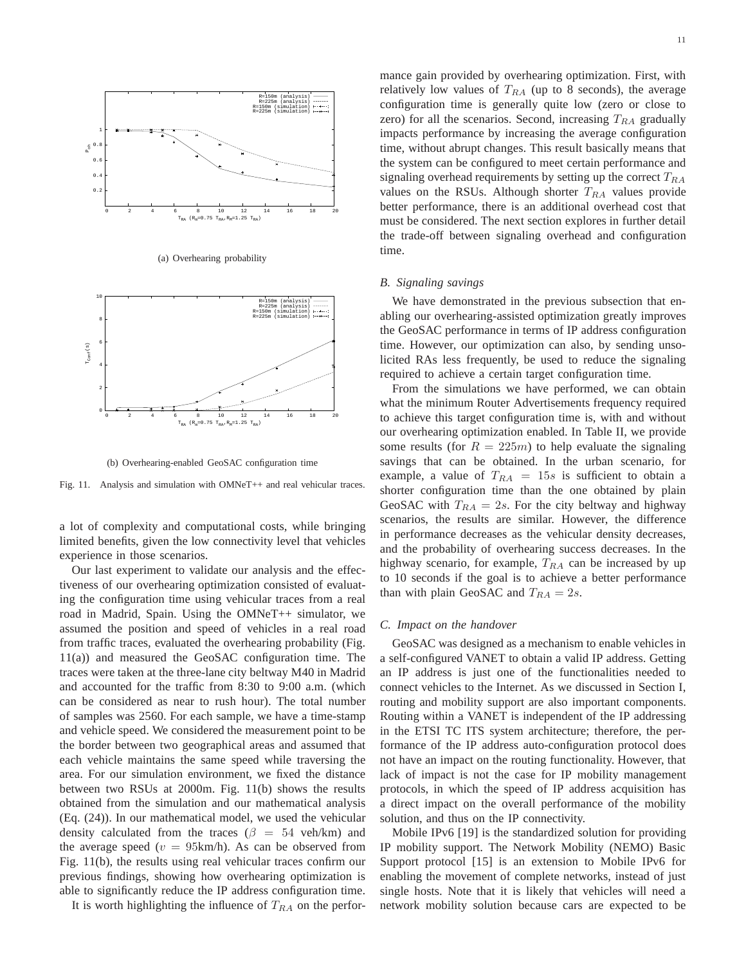

(a) Overhearing probability



(b) Overhearing-enabled GeoSAC configuration time

Fig. 11. Analysis and simulation with OMNeT++ and real vehicular traces.

a lot of complexity and computational costs, while bringing limited benefits, given the low connectivity level that vehicles experience in those scenarios.

Our last experiment to validate our analysis and the effectiveness of our overhearing optimization consisted of evaluating the configuration time using vehicular traces from a real road in Madrid, Spain. Using the OMNeT++ simulator, we assumed the position and speed of vehicles in a real road from traffic traces, evaluated the overhearing probability (Fig. 11(a)) and measured the GeoSAC configuration time. The traces were taken at the three-lane city beltway M40 in Madrid and accounted for the traffic from 8:30 to 9:00 a.m. (which can be considered as near to rush hour). The total number of samples was 2560. For each sample, we have a time-stamp and vehicle speed. We considered the measurement point to be the border between two geographical areas and assumed that each vehicle maintains the same speed while traversing the area. For our simulation environment, we fixed the distance between two RSUs at 2000m. Fig. 11(b) shows the results obtained from the simulation and our mathematical analysis (Eq. (24)). In our mathematical model, we used the vehicular density calculated from the traces ( $\beta = 54$  veh/km) and the average speed ( $v = 95 \text{km/h}$ ). As can be observed from Fig. 11(b), the results using real vehicular traces confirm our previous findings, showing how overhearing optimization is able to significantly reduce the IP address configuration time.

It is worth highlighting the influence of  $T<sub>RA</sub>$  on the perfor-

mance gain provided by overhearing optimization. First, with relatively low values of  $T_{RA}$  (up to 8 seconds), the average configuration time is generally quite low (zero or close to zero) for all the scenarios. Second, increasing  $T_{RA}$  gradually impacts performance by increasing the average configuration time, without abrupt changes. This result basically means that the system can be configured to meet certain performance and signaling overhead requirements by setting up the correct  $T_{RA}$ values on the RSUs. Although shorter  $T_{RA}$  values provide better performance, there is an additional overhead cost that must be considered. The next section explores in further detail the trade-off between signaling overhead and configuration time.

### *B. Signaling savings*

We have demonstrated in the previous subsection that enabling our overhearing-assisted optimization greatly improves the GeoSAC performance in terms of IP address configuration time. However, our optimization can also, by sending unsolicited RAs less frequently, be used to reduce the signaling required to achieve a certain target configuration time.

From the simulations we have performed, we can obtain what the minimum Router Advertisements frequency required to achieve this target configuration time is, with and without our overhearing optimization enabled. In Table II, we provide some results (for  $R = 225m$ ) to help evaluate the signaling savings that can be obtained. In the urban scenario, for example, a value of  $T_{RA} = 15s$  is sufficient to obtain a shorter configuration time than the one obtained by plain GeoSAC with  $T_{RA} = 2s$ . For the city beltway and highway scenarios, the results are similar. However, the difference in performance decreases as the vehicular density decreases, and the probability of overhearing success decreases. In the highway scenario, for example,  $T_{RA}$  can be increased by up to 10 seconds if the goal is to achieve a better performance than with plain GeoSAC and  $T_{RA} = 2s$ .

# *C. Impact on the handover*

GeoSAC was designed as a mechanism to enable vehicles in a self-configured VANET to obtain a valid IP address. Getting an IP address is just one of the functionalities needed to connect vehicles to the Internet. As we discussed in Section I, routing and mobility support are also important components. Routing within a VANET is independent of the IP addressing in the ETSI TC ITS system architecture; therefore, the performance of the IP address auto-configuration protocol does not have an impact on the routing functionality. However, that lack of impact is not the case for IP mobility management protocols, in which the speed of IP address acquisition has a direct impact on the overall performance of the mobility solution, and thus on the IP connectivity.

Mobile IPv6 [19] is the standardized solution for providing IP mobility support. The Network Mobility (NEMO) Basic Support protocol [15] is an extension to Mobile IPv6 for enabling the movement of complete networks, instead of just single hosts. Note that it is likely that vehicles will need a network mobility solution because cars are expected to be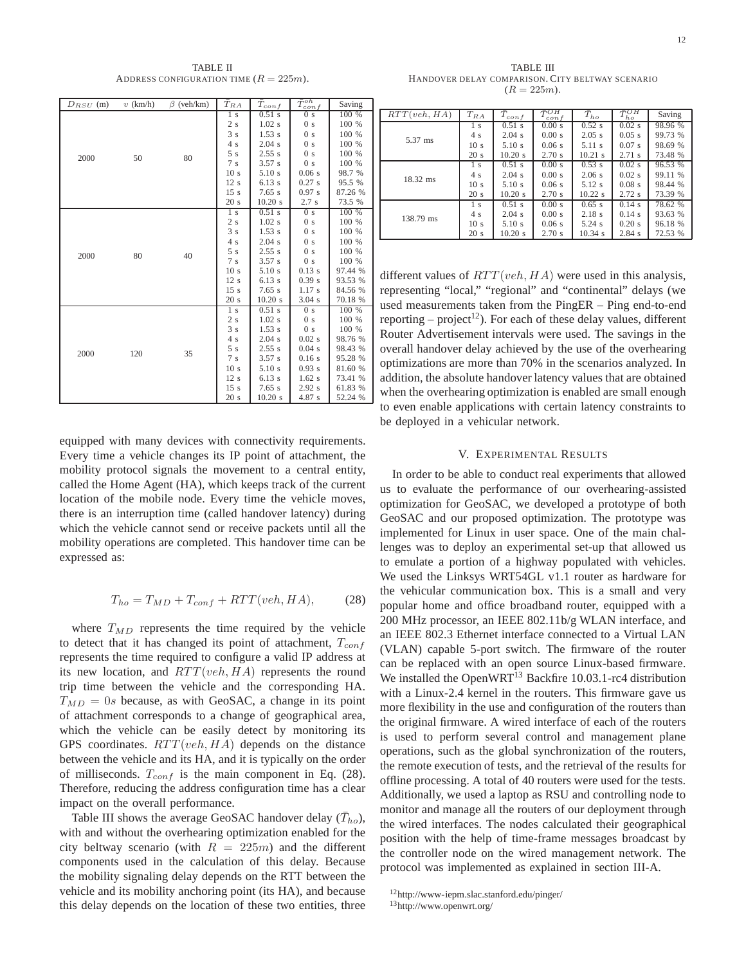TABLE II ADDRESS CONFIGURATION TIME  $(R = 225m)$ .

| $D_{RSU}$ (m) | $v$ (km/h) | $\beta$ (veh/km) | $T_{RA}$         | $\bar{T}_{conf}$ | $\bar{T}_{\cdot}^{oh}$<br>$\cos f$ | Saving  |
|---------------|------------|------------------|------------------|------------------|------------------------------------|---------|
| 2000          |            | 80               | 1 s              | $0.51$ s         | 0 <sub>s</sub>                     | 100 %   |
|               |            |                  | 2s               | $1.02$ s         | 0 <sub>s</sub>                     | 100 %   |
|               | 50         |                  | 3s               | 1.53 s           | 0 <sub>s</sub>                     | 100 %   |
|               |            |                  | 4 s              | 2.04 s           | 0 <sub>s</sub>                     | 100 %   |
|               |            |                  | 5s               | 2.55 s           | 0 <sub>s</sub>                     | 100 %   |
|               |            |                  | 7s               | 3.57 s           | 0 <sub>s</sub>                     | 100 %   |
|               |            |                  | 10 <sub>s</sub>  | $5.10$ s         | 0.06 s                             | 98.7 %  |
|               |            |                  | 12s              | $6.13$ s         | 0.27s                              | 95.5 %  |
|               |            |                  | 15s              | 7.65 s           | 0.97 s                             | 87.26 % |
|               |            |                  | 20 s             | 10.20 s          | 2.7s                               | 73.5 %  |
|               |            | 40               | 1 <sub>s</sub>   | $0.51$ s         | 0 <sub>s</sub>                     | 100 %   |
|               |            |                  | 2s               | $1.02$ s         | 0 <sub>s</sub>                     | 100 %   |
|               |            |                  | 3s               | 1.53 s           | 0 <sub>s</sub>                     | 100 %   |
| 2000          |            |                  | 4s               | 2.04 s           | 0 <sub>s</sub>                     | 100 %   |
|               | 80         |                  | 5s               | 2.55 s           | 0 <sub>s</sub>                     | 100 %   |
|               |            |                  | 7s               | 3.57 s           | 0 <sub>s</sub>                     | 100 %   |
|               |            |                  | 10 <sub>s</sub>  | 5.10 s           | $0.13$ s                           | 97.44 % |
|               |            |                  | 12s              | $6.13$ s         | 0.39 s                             | 93.53 % |
|               |            |                  | 15s              | 7.65 s           | 1.17s                              | 84.56 % |
|               |            |                  | 20 s             | 10.20 s          | 3.04 s                             | 70.18 % |
| 2000          | 120        | 35               | $\overline{1}$ s | $0.51$ s         | 0 <sub>s</sub>                     | 100 %   |
|               |            |                  | 2s               | $1.02$ s         | 0 <sub>s</sub>                     | 100 %   |
|               |            |                  | 3s               | 1.53 s           | 0 <sub>s</sub>                     | 100 %   |
|               |            |                  | 4s               | 2.04 s           | $0.02$ s                           | 98.76 % |
|               |            |                  | 5s               | 2.55 s           | 0.04 s                             | 98.43 % |
|               |            |                  | 7s               | 3.57 s           | 0.16s                              | 95.28 % |
|               |            |                  | 10 <sub>s</sub>  | 5.10 s           | 0.93 s                             | 81.60 % |
|               |            |                  | 12s              | $6.13$ s         | $1.62$ s                           | 73.41 % |
|               |            |                  | 15s              | 7.65 s           | 2.92 s                             | 61.83 % |
|               |            |                  | 20 s             | 10.20 s          | 4.87 s                             | 52.24 % |

equipped with many devices with connectivity requirements. Every time a vehicle changes its IP point of attachment, the mobility protocol signals the movement to a central entity, called the Home Agent (HA), which keeps track of the current location of the mobile node. Every time the vehicle moves, there is an interruption time (called handover latency) during which the vehicle cannot send or receive packets until all the mobility operations are completed. This handover time can be expressed as:

$$
T_{ho} = T_{MD} + T_{conf} + RTT (veh, HA), \tag{28}
$$

where  $T_{MD}$  represents the time required by the vehicle to detect that it has changed its point of attachment,  $T_{conf}$ represents the time required to configure a valid IP address at its new location, and  $RTT (veh, HA)$  represents the round trip time between the vehicle and the corresponding HA.  $T_{MD} = 0s$  because, as with GeoSAC, a change in its point of attachment corresponds to a change of geographical area, which the vehicle can be easily detect by monitoring its GPS coordinates.  $RTT (veh, HA)$  depends on the distance between the vehicle and its HA, and it is typically on the order of milliseconds.  $T_{conf}$  is the main component in Eq. (28). Therefore, reducing the address configuration time has a clear impact on the overall performance.

Table III shows the average GeoSAC handover delay  $(\bar{T}_{ho})$ , with and without the overhearing optimization enabled for the city beltway scenario (with  $R = 225m$ ) and the different components used in the calculation of this delay. Because the mobility signaling delay depends on the RTT between the vehicle and its mobility anchoring point (its HA), and because this delay depends on the location of these two entities, three

TABLE III HANDOVER DELAY COMPARISON. CITY BELTWAY SCENARIO  $(R = 225m)$ .

| RTT(veh, HA)       | $T_{RA}$        | $\overline{T}_{conf}$ | $\overline{\tau}_{0}OH$<br>$\cos f$ | $\bar{T}_{ho}$    | $\bar{\tau}$ OH<br>ho | Saving  |
|--------------------|-----------------|-----------------------|-------------------------------------|-------------------|-----------------------|---------|
| 5.37 ms            | 1 <sup>s</sup>  | $0.51$ s              | 0.00 s                              | 0.52 s            | $0.02$ s              | 98.96 % |
|                    | 4s              | $2.04$ s              | 0.00 s                              | 2.05 s            | 0.05 s                | 99.73 % |
|                    | 10 <sub>s</sub> | $5.10$ s              | 0.06 s                              | $5.11$ s          | 0.07 s                | 98.69 % |
|                    | 20 s            | 10.20 s               | 2.70 s                              | $10.21$ s         | 2.71 s                | 73.48 % |
| $18.32 \text{ ms}$ | 1 <sub>s</sub>  | $0.51$ s              | 0.00 s                              | 0.53 s            | 0.02 s                | 96.53 % |
|                    | 4s              | $2.04$ s              | 0.00 s                              | 2.06 s            | 0.02 s                | 99.11 % |
|                    | 10 <sub>s</sub> | 5.10 s                | 0.06 s                              | $5.12$ s          | $0.08$ s              | 98.44 % |
|                    | 20 s            | $10.20$ s             | 2.70 s                              | $10.22$ s         | 2.72s                 | 73.39 % |
| 138.79 ms          | 1 s             | $0.51$ s              | 0.00 s                              | $0.65$ s          | 0.14 s                | 78.62 % |
|                    | 4s              | $2.04$ s              | 0.00 s                              | 2.18 s            | 0.14 s                | 93.63 % |
|                    | 10 <sub>s</sub> | $5.10$ s              | 0.06 s                              | $5.24$ s          | 0.20 s                | 96.18 % |
|                    | 20 s            | 10.20 s               | 2.70 s                              | $10.34 \text{ s}$ | 2.84 s                | 72.53 % |

different values of  $RTT (veh, HA)$  were used in this analysis, representing "local," "regional" and "continental" delays (we used measurements taken from the PingER – Ping end-to-end reporting – project<sup>12</sup>). For each of these delay values, different Router Advertisement intervals were used. The savings in the overall handover delay achieved by the use of the overhearing optimizations are more than 70% in the scenarios analyzed. In addition, the absolute handover latency values that are obtained when the overhearing optimization is enabled are small enough to even enable applications with certain latency constraints to be deployed in a vehicular network.

# V. EXPERIMENTAL RESULTS

In order to be able to conduct real experiments that allowed us to evaluate the performance of our overhearing-assisted optimization for GeoSAC, we developed a prototype of both GeoSAC and our proposed optimization. The prototype was implemented for Linux in user space. One of the main challenges was to deploy an experimental set-up that allowed us to emulate a portion of a highway populated with vehicles. We used the Linksys WRT54GL v1.1 router as hardware for the vehicular communication box. This is a small and very popular home and office broadband router, equipped with a 200 MHz processor, an IEEE 802.11b/g WLAN interface, and an IEEE 802.3 Ethernet interface connected to a Virtual LAN (VLAN) capable 5-port switch. The firmware of the router can be replaced with an open source Linux-based firmware. We installed the OpenWRT<sup>13</sup> Backfire 10.03.1-rc4 distribution with a Linux-2.4 kernel in the routers. This firmware gave us more flexibility in the use and configuration of the routers than the original firmware. A wired interface of each of the routers is used to perform several control and management plane operations, such as the global synchronization of the routers, the remote execution of tests, and the retrieval of the results for offline processing. A total of 40 routers were used for the tests. Additionally, we used a laptop as RSU and controlling node to monitor and manage all the routers of our deployment through the wired interfaces. The nodes calculated their geographical position with the help of time-frame messages broadcast by the controller node on the wired management network. The protocol was implemented as explained in section III-A.

<sup>12</sup>http://www-iepm.slac.stanford.edu/pinger/

<sup>13</sup>http://www.openwrt.org/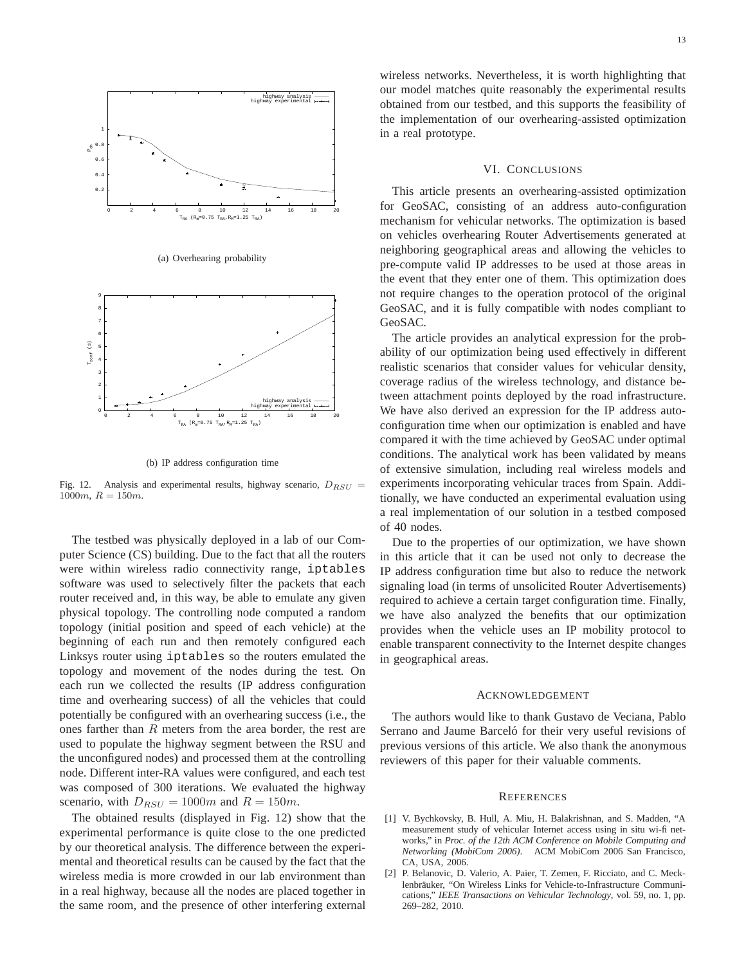

(a) Overhearing probability



(b) IP address configuration time

Fig. 12. Analysis and experimental results, highway scenario,  $D_{RSU}$  =  $1000m, R = 150m.$ 

The testbed was physically deployed in a lab of our Computer Science (CS) building. Due to the fact that all the routers were within wireless radio connectivity range, iptables software was used to selectively filter the packets that each router received and, in this way, be able to emulate any given physical topology. The controlling node computed a random topology (initial position and speed of each vehicle) at the beginning of each run and then remotely configured each Linksys router using iptables so the routers emulated the topology and movement of the nodes during the test. On each run we collected the results (IP address configuration time and overhearing success) of all the vehicles that could potentially be configured with an overhearing success (i.e., the ones farther than R meters from the area border, the rest are used to populate the highway segment between the RSU and the unconfigured nodes) and processed them at the controlling node. Different inter-RA values were configured, and each test was composed of 300 iterations. We evaluated the highway scenario, with  $D_{RSU} = 1000m$  and  $R = 150m$ .

The obtained results (displayed in Fig. 12) show that the experimental performance is quite close to the one predicted by our theoretical analysis. The difference between the experimental and theoretical results can be caused by the fact that the wireless media is more crowded in our lab environment than in a real highway, because all the nodes are placed together in the same room, and the presence of other interfering external wireless networks. Nevertheless, it is worth highlighting that our model matches quite reasonably the experimental results obtained from our testbed, and this supports the feasibility of the implementation of our overhearing-assisted optimization in a real prototype.

### VI. CONCLUSIONS

This article presents an overhearing-assisted optimization for GeoSAC, consisting of an address auto-configuration mechanism for vehicular networks. The optimization is based on vehicles overhearing Router Advertisements generated at neighboring geographical areas and allowing the vehicles to pre-compute valid IP addresses to be used at those areas in the event that they enter one of them. This optimization does not require changes to the operation protocol of the original GeoSAC, and it is fully compatible with nodes compliant to GeoSAC.

The article provides an analytical expression for the probability of our optimization being used effectively in different realistic scenarios that consider values for vehicular density, coverage radius of the wireless technology, and distance between attachment points deployed by the road infrastructure. We have also derived an expression for the IP address autoconfiguration time when our optimization is enabled and have compared it with the time achieved by GeoSAC under optimal conditions. The analytical work has been validated by means of extensive simulation, including real wireless models and experiments incorporating vehicular traces from Spain. Additionally, we have conducted an experimental evaluation using a real implementation of our solution in a testbed composed of 40 nodes.

Due to the properties of our optimization, we have shown in this article that it can be used not only to decrease the IP address configuration time but also to reduce the network signaling load (in terms of unsolicited Router Advertisements) required to achieve a certain target configuration time. Finally, we have also analyzed the benefits that our optimization provides when the vehicle uses an IP mobility protocol to enable transparent connectivity to the Internet despite changes in geographical areas.

#### ACKNOWLEDGEMENT

The authors would like to thank Gustavo de Veciana, Pablo Serrano and Jaume Barceló for their very useful revisions of previous versions of this article. We also thank the anonymous reviewers of this paper for their valuable comments.

#### **REFERENCES**

- [1] V. Bychkovsky, B. Hull, A. Miu, H. Balakrishnan, and S. Madden, "A measurement study of vehicular Internet access using in situ wi-fi networks," in *Proc. of the 12th ACM Conference on Mobile Computing and Networking (MobiCom 2006)*. ACM MobiCom 2006 San Francisco, CA, USA, 2006.
- [2] P. Belanovic, D. Valerio, A. Paier, T. Zemen, F. Ricciato, and C. Mecklenbräuker, "On Wireless Links for Vehicle-to-Infrastructure Communications," *IEEE Transactions on Vehicular Technology*, vol. 59, no. 1, pp. 269–282, 2010.